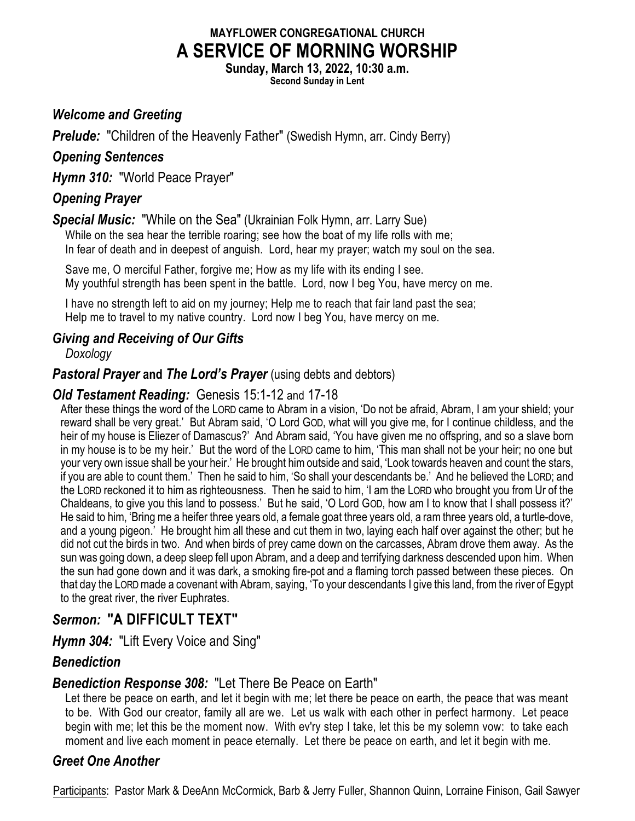# **MAYFLOWER CONGREGATIONAL CHURCH A SERVICE OF MORNING WORSHIP**

**Sunday, March 13, 2022, 10:30 a.m.**

**Second Sunday in Lent**

## *Welcome and Greeting*

**Prelude:** "Children of the Heavenly Father" (Swedish Hymn, arr. Cindy Berry)

## *Opening Sentences*

*Hymn 310:* "World Peace Prayer"

## *Opening Prayer*

*Special Music:* "While on the Sea" (Ukrainian Folk Hymn, arr. Larry Sue)

While on the sea hear the terrible roaring; see how the boat of my life rolls with me; In fear of death and in deepest of anguish. Lord, hear my prayer; watch my soul on the sea.

Save me, O merciful Father, forgive me; How as my life with its ending I see. My youthful strength has been spent in the battle. Lord, now I beg You, have mercy on me.

I have no strength left to aid on my journey; Help me to reach that fair land past the sea; Help me to travel to my native country. Lord now I beg You, have mercy on me.

## *Giving and Receiving of Our Gifts*

*Doxology*

### **Pastoral Prayer and The Lord's Prayer** (using debts and debtors)

### *Old Testament Reading:* Genesis 15:1-12 and 17-18

After these things the word of the LORD came to Abram in a vision, 'Do not be afraid, Abram, I am your shield; your reward shall be very great.' But Abram said, 'O Lord GOD, what will you give me, for I continue childless, and the heir of my house is Eliezer of Damascus?' And Abram said, 'You have given me no offspring, and so a slave born in my house is to be my heir.' But the word of the LORD came to him, 'This man shall not be your heir; no one but your very own issue shall be your heir.' He brought him outside and said, 'Look towards heaven and count the stars, if you are able to count them.' Then he said to him, 'So shall your descendants be.' And he believed the LORD; and the LORD reckoned it to him as righteousness. Then he said to him, 'I am the LORD who brought you from Ur of the Chaldeans, to give you this land to possess.' But he said, 'O Lord GOD, how am I to know that I shall possess it?' He said to him, 'Bring me a heifer three years old, a female goat three years old, a ram three years old, a turtle-dove, and a young pigeon.' He brought him all these and cut them in two, laying each half over against the other; but he did not cut the birds in two. And when birds of prey came down on the carcasses, Abram drove them away. As the sun was going down, a deep sleep fell upon Abram, and a deep and terrifying darkness descended upon him. When the sun had gone down and it was dark, a smoking fire-pot and a flaming torch passed between these pieces. On that day the LORDmade a covenant with Abram, saying, 'To your descendants I give this land, from the river of Egypt to the great river, the river Euphrates.

# *Sermon:* **"A DIFFICULT TEXT"**

*Hymn 304:* "Lift Every Voice and Sing"

## *Benediction*

## *Benediction Response 308:* "Let There Be Peace on Earth"

Let there be peace on earth, and let it begin with me; let there be peace on earth, the peace that was meant to be. With God our creator, family all are we. Let us walk with each other in perfect harmony. Let peace begin with me; let this be the moment now. With ev'ry step I take, let this be my solemn vow: to take each moment and live each moment in peace eternally. Let there be peace on earth, and let it begin with me.

## *Greet One Another*

Participants: Pastor Mark & DeeAnn McCormick, Barb & Jerry Fuller, Shannon Quinn, Lorraine Finison, Gail Sawyer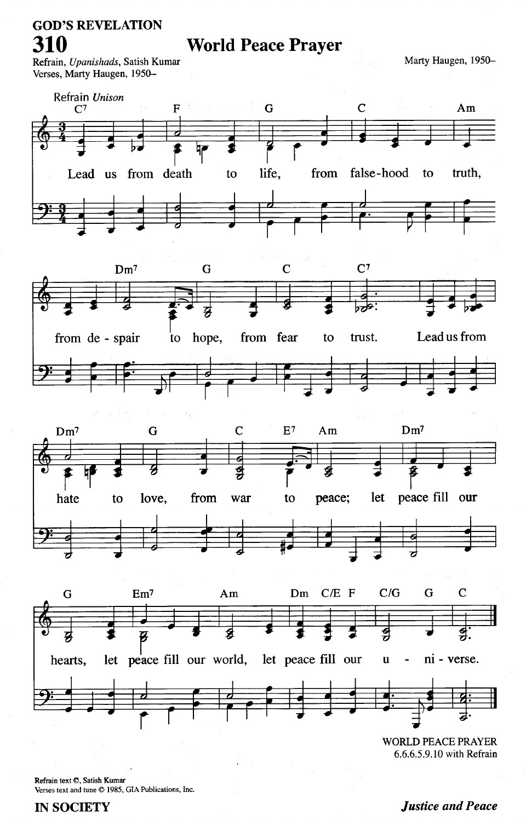# **GOD'S REVELATION** 310

**World Peace Prayer** 

Refrain, Upanishads, Satish Kumar Verses, Marty Haugen, 1950Marty Haugen, 1950-



**WORLD PEACE PRAYER** 6.6.6.5.9.10 with Refrain

Refrain text ©, Satish Kumar Verses text and tune © 1985, GIA Publications, Inc.

#### **IN SOCIETY**

#### **Justice and Peace**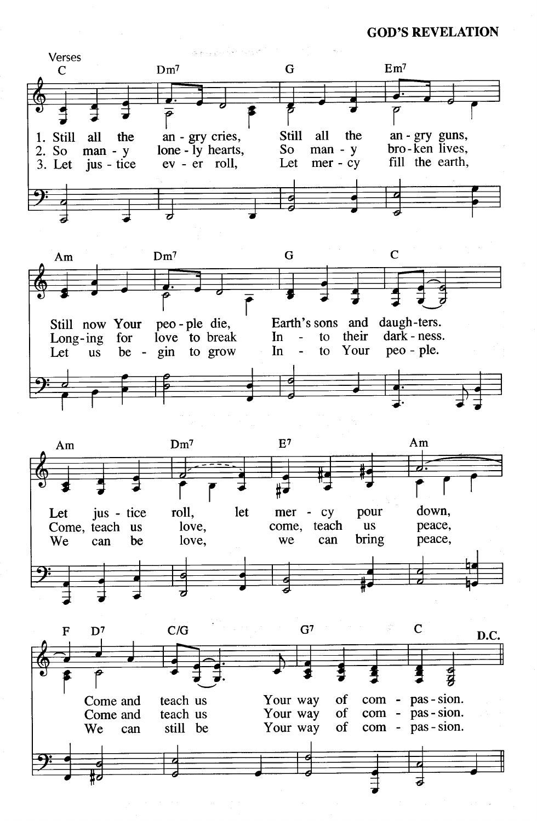**GOD'S REVELATION** 







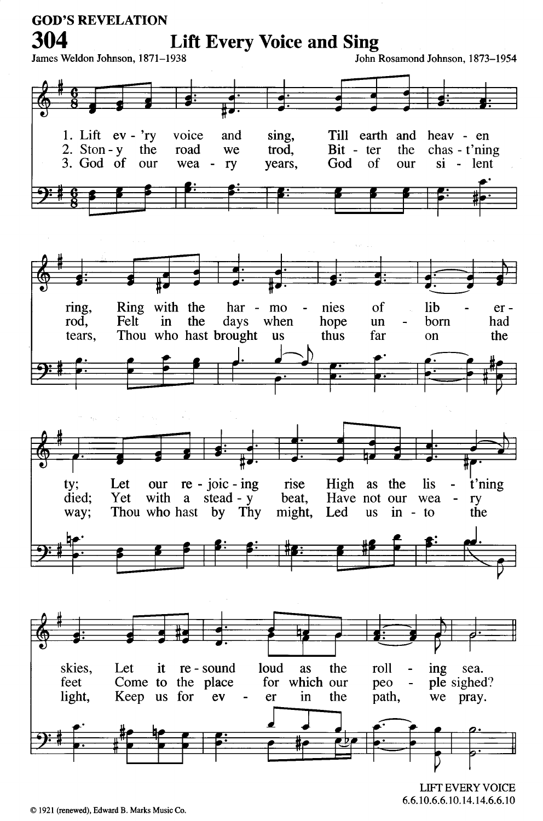

**LIFT EVERY VOICE** 6.6.10.6.6.10.14.14.6.6.10